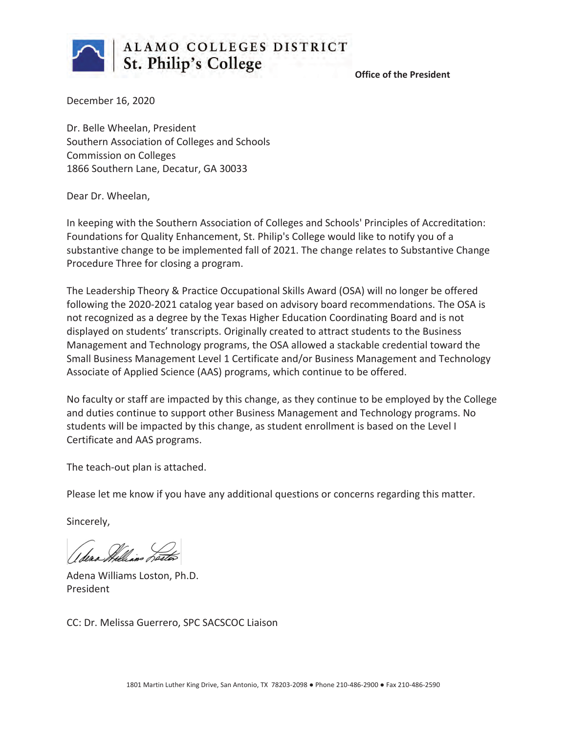

 **Office of the President**

December 16, 2020

Dr. Belle Wheelan, President Southern Association of Colleges and Schools Commission on Colleges 1866 Southern Lane, Decatur, GA 30033

Dear Dr. Wheelan,

In keeping with the Southern Association of Colleges and Schools' Principles of Accreditation: Foundations for Quality Enhancement, St. Philip's College would like to notify you of a substantive change to be implemented fall of 2021. The change relates to Substantive Change Procedure Three for closing a program.

The Leadership Theory & Practice Occupational Skills Award (OSA) will no longer be offered following the 2020-2021 catalog year based on advisory board recommendations. The OSA is not recognized as a degree by the Texas Higher Education Coordinating Board and is not displayed on students' transcripts. Originally created to attract students to the Business Management and Technology programs, the OSA allowed a stackable credential toward the Small Business Management Level 1 Certificate and/or Business Management and Technology Associate of Applied Science (AAS) programs, which continue to be offered.

No faculty or staff are impacted by this change, as they continue to be employed by the College and duties continue to support other Business Management and Technology programs. No students will be impacted by this change, as student enrollment is based on the Level I Certificate and AAS programs.

The teach-out plan is attached.

Please let me know if you have any additional questions or concerns regarding this matter.

Sincerely,

Adena Williams Loston, Ph.D. President

CC: Dr. Melissa Guerrero, SPC SACSCOC Liaison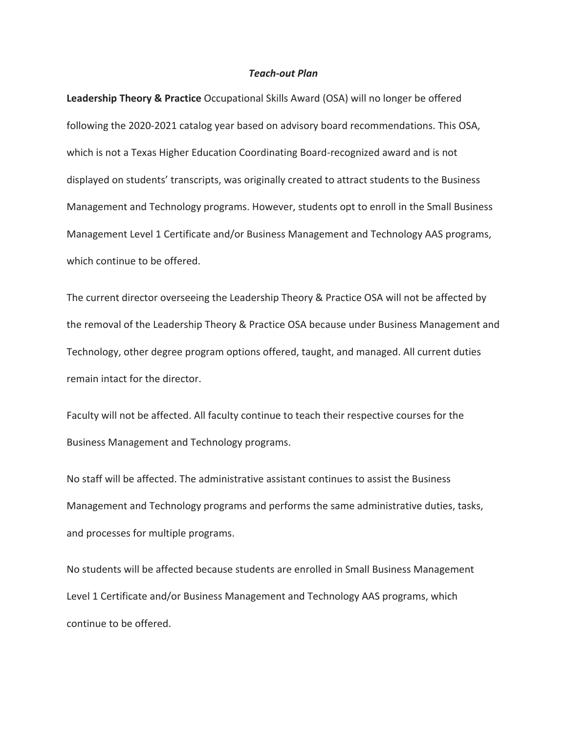#### *Teach-out Plan*

**Leadership Theory & Practice** Occupational Skills Award (OSA) will no longer be offered following the 2020-2021 catalog year based on advisory board recommendations. This OSA, which is not a Texas Higher Education Coordinating Board-recognized award and is not displayed on students' transcripts, was originally created to attract students to the Business Management and Technology programs. However, students opt to enroll in the Small Business Management Level 1 Certificate and/or Business Management and Technology AAS programs, which continue to be offered.

The current director overseeing the Leadership Theory & Practice OSA will not be affected by the removal of the Leadership Theory & Practice OSA because under Business Management and Technology, other degree program options offered, taught, and managed. All current duties remain intact for the director.

Faculty will not be affected. All faculty continue to teach their respective courses for the Business Management and Technology programs.

No staff will be affected. The administrative assistant continues to assist the Business Management and Technology programs and performs the same administrative duties, tasks, and processes for multiple programs.

No students will be affected because students are enrolled in Small Business Management Level 1 Certificate and/or Business Management and Technology AAS programs, which continue to be offered.